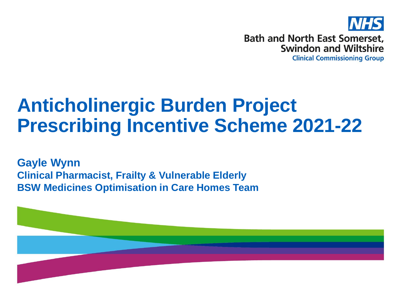

**Bath and North East Somerset, Swindon and Wiltshire** 

**Clinical Commissioning Group** 

# **Anticholinergic Burden Project Prescribing Incentive Scheme 2021-22**

**Gayle Wynn Clinical Pharmacist, Frailty & Vulnerable Elderly BSW Medicines Optimisation in Care Homes Team**

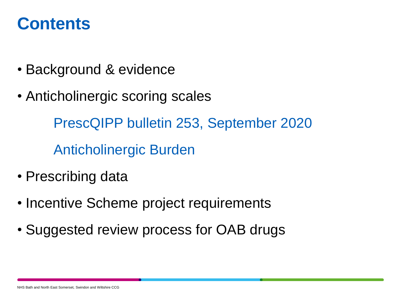### **Contents**

- Background & evidence
- Anticholinergic scoring scales

PrescQIPP bulletin 253, September 2020 Anticholinergic Burden

- Prescribing data
- Incentive Scheme project requirements
- Suggested review process for OAB drugs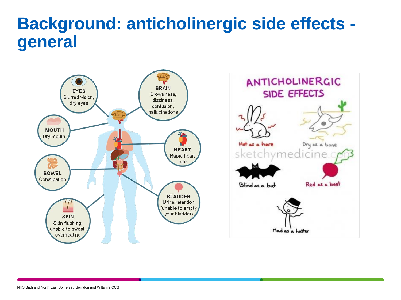### **Background: anticholinergic side effects general**



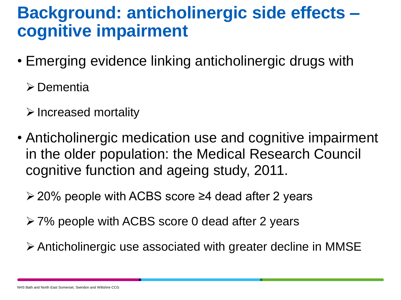### **Background: anticholinergic side effects – cognitive impairment**

- Emerging evidence linking anticholinergic drugs with
	- **≻** Dementia
	- $\triangleright$  Increased mortality
- Anticholinergic medication use and cognitive impairment in the older population: the Medical Research Council cognitive function and ageing study, 2011.
	- 20% people with ACBS score ≥4 dead after 2 years
	- 7% people with ACBS score 0 dead after 2 years
	- Anticholinergic use associated with greater decline in MMSE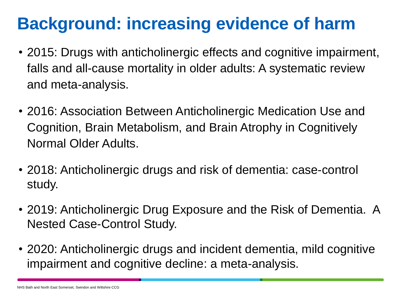### **Background: increasing evidence of harm**

- 2015: Drugs with anticholinergic effects and cognitive impairment, falls and all-cause mortality in older adults: A systematic review and meta-analysis.
- 2016: Association Between Anticholinergic Medication Use and Cognition, Brain Metabolism, and Brain Atrophy in Cognitively Normal Older Adults.
- 2018: Anticholinergic drugs and risk of dementia: case-control study.
- 2019: Anticholinergic Drug Exposure and the Risk of Dementia. A Nested Case-Control Study.
- 2020: Anticholinergic drugs and incident dementia, mild cognitive impairment and cognitive decline: a meta-analysis.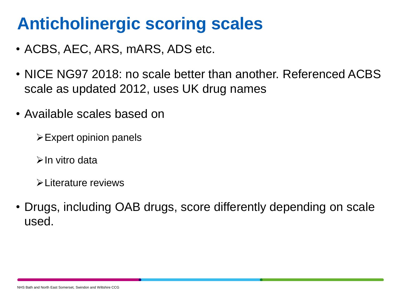## **Anticholinergic scoring scales**

- ACBS, AEC, ARS, mARS, ADS etc.
- NICE NG97 2018: no scale better than another. Referenced ACBS scale as updated 2012, uses UK drug names
- Available scales based on
	- $\triangleright$  Expert opinion panels
	- $\triangleright$  In vitro data
	- $\blacktriangleright$ l iterature reviews
- Drugs, including OAB drugs, score differently depending on scale used.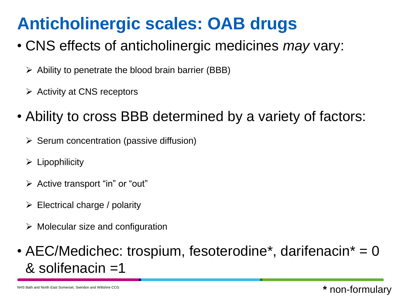## **Anticholinergic scales: OAB drugs**

- CNS effects of anticholinergic medicines *may* vary:
	- $\triangleright$  Ability to penetrate the blood brain barrier (BBB)
	- $\triangleright$  Activity at CNS receptors
- Ability to cross BBB determined by a variety of factors:
	- $\triangleright$  Serum concentration (passive diffusion)
	- $\triangleright$  Lipophilicity
	- $\triangleright$  Active transport "in" or "out"
	- $\triangleright$  Electrical charge / polarity
	- $\triangleright$  Molecular size and configuration
- AEC/Medichec: trospium, fesoterodine<sup>\*</sup>, darifenacin<sup>\*</sup> = 0 & solifenacin =1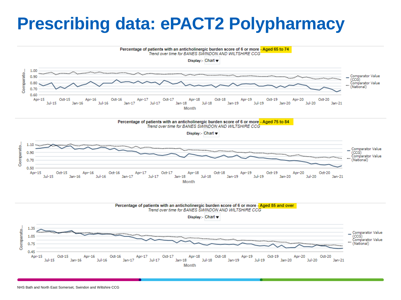### **Prescribing data: ePACT2 Polypharmacy**

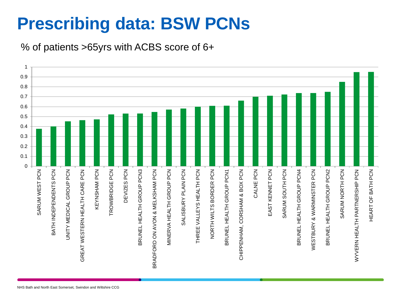# **Prescribing data: BSW PCNs**

% of patients >65yrs with ACBS score of 6+

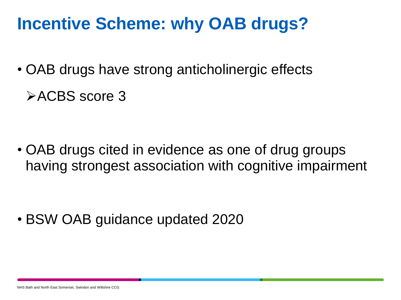### **Incentive Scheme: why OAB drugs?**

- OAB drugs have strong anticholinergic effects
	- **EXACBS** score 3

• OAB drugs cited in evidence as one of drug groups having strongest association with cognitive impairment

• BSW OAB guidance updated 2020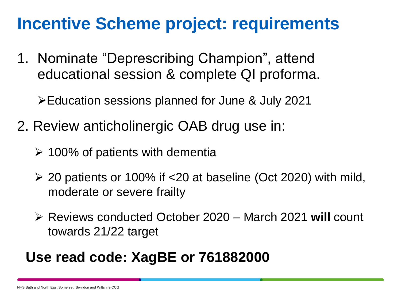### **Incentive Scheme project: requirements**

1. Nominate "Deprescribing Champion", attend educational session & complete QI proforma.

Education sessions planned for June & July 2021

- 2. Review anticholinergic OAB drug use in:
	- $\geq$  100% of patients with dementia
	- $\geq$  20 patients or 100% if <20 at baseline (Oct 2020) with mild, moderate or severe frailty
	- Reviews conducted October 2020 March 2021 **will** count towards 21/22 target

### **Use read code: XagBE or 761882000**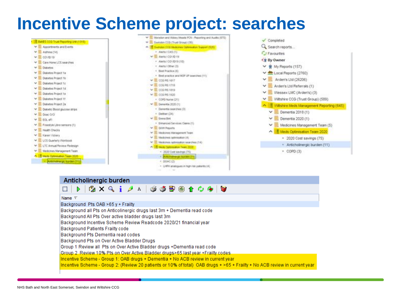### **Incentive Scheme project: searches**



### Anticholinergic burden



#### Name  $\nabla$

Background Pts OAB >65 y + Frailty

Background all Pts on Anticolinergic drugs last 3m + Dementia read code

Background All Pts Over active bladder drugs last 3m

Background Incentive Scheme Review Readcode 2020/21 financial year

Background Patients Frailty code

Background Pts Dementia read codes

Background Pts on Over Active Bladder Drugs

Group 1 Review all Pts on Over Active Bladder drugs +Dementia read code

Group 2 Review 10% Pts on Over Active Bladder drugs>65 last year +Frailty codes

Incentive Scheme - Group 1: OAB drugs + Dementia + No ACB review in current year

Incentive Scheme - Group 2: (Review 20 patients or 10% of total) OAB drugs + >65 + Frailty + No ACB review in current year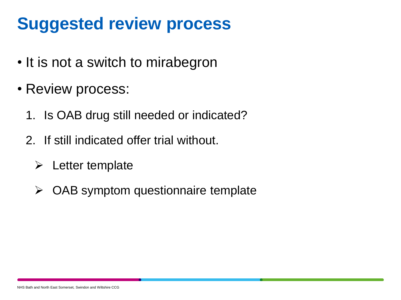## **Suggested review process**

- It is not a switch to mirabegron
- Review process:
	- 1. Is OAB drug still needed or indicated?
	- 2. If still indicated offer trial without.
		- $\triangleright$  Letter template
		- $\triangleright$  OAB symptom questionnaire template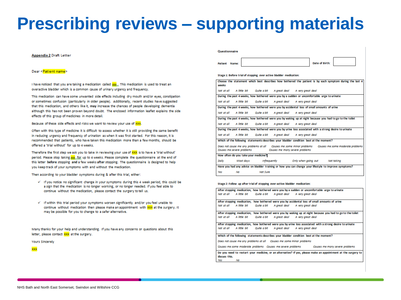### **Prescribing reviews – supporting materials**

#### **Appendix 2 Draft Letter**

#### Dear <Patient name>

I have noticed that you are taking a medication called xxx. This medication is used to treat an overactive bladder which is a common cause of urinary urgency and frequency.

This medication can have some unwanted side effects including dry mouth and/or eves, constipation or sometimes confusion (particularly in older people). Additionally, recent studies have suggested that this medication, and others like it, may increase the chances of people developing dementia although this has not been proven beyond doubt. The enclosed information leaflet explains the side effects of this group of medicines in more detail.

Because of these side effects and risks we want to review your use of XXX.

Often with this type of medicine it is difficult to assess whether it is still providing the same benefit in reducing urgency and frequency of urination as when it was first started. For this reason, it is recommended that patients, who have taken this medication more than a few months, should be offered a 'trial without' for up to 4 weeks.

Therefore the first step we ask you to take in reviewing your use of XXX is to have a 'trial without' period. Please stop taking xxx, for up to 4 weeks. Please complete the questionnaire at the end of this letter before stopping and a few weeks after stopping. The questionnaire is designed to help you keep track of your symptoms with and without the medication.

Then according to your bladder symptoms during & after this trial, either:

- v If you notice no significant change in your symptoms during this 4 week period, this could be a sign that the medication is no longer working, or no longer needed. If you feel able to continue without the medication, please contact the surgery to tell us.
- v If within this trial period your symptoms worsen significantly and/or you feel unable to continue without medication then please make an appointment with XXX at the surgery. It may be possible for you to change to a safer alternative.

Many thanks for your help and understanding. If you have any concerns or questions about this letter, please contact XXX at the surgery.

**Yours Sincerely** 

xxx

#### Questionnaire

Patient Name:

Date of Birth:

Stage 1: Before trial of stopping lover active bladder medication:

| weeks                                                                                                                                                            |    |          |  |                                                                    | Choose the statement which best describes how bothered the patient is by each symptom during the last 4 |
|------------------------------------------------------------------------------------------------------------------------------------------------------------------|----|----------|--|--------------------------------------------------------------------|---------------------------------------------------------------------------------------------------------|
|                                                                                                                                                                  |    |          |  | Not at all A little bit Quite a bit A areat deal A very areat deal |                                                                                                         |
| During the past 4 weeks, how bothered were you by a sudden or uncomfortable urge to urinate                                                                      |    |          |  |                                                                    |                                                                                                         |
|                                                                                                                                                                  |    |          |  | Not at all A little bit Quite a bit A great deal A very great deal |                                                                                                         |
| During the past 4 weeks, how bothered were you by accidental loss of small amounts of urine                                                                      |    |          |  |                                                                    |                                                                                                         |
|                                                                                                                                                                  |    |          |  | Not at all A little bit Quite a bit A great deal A very great deal |                                                                                                         |
| During the past 4 weeks, how bothered were you by waking up at night because you had to go to the toilet                                                         |    |          |  |                                                                    |                                                                                                         |
|                                                                                                                                                                  |    |          |  | Not at all A little bit Quite a bit A great deal A very great deal |                                                                                                         |
| During the past 4 weeks, how bothered were you by urine loss associated with a strong desire to urinate                                                          |    |          |  |                                                                    |                                                                                                         |
|                                                                                                                                                                  |    |          |  | Not at all A little bit Quite a bit A great deal A very great deal |                                                                                                         |
| Which of the following statements describes your bladder condition best at the moment?                                                                           |    |          |  |                                                                    |                                                                                                         |
| Does not cause me any problems at all Causes me some minor problems Causes me some moderate problems<br>Causes me severe problems Causes me many severe problems |    |          |  |                                                                    |                                                                                                         |
| How often do you take your medicine?                                                                                                                             |    |          |  |                                                                    |                                                                                                         |
| Daily                                                                                                                                                            |    |          |  | Most days infrequently in Only when going out and Not taking       |                                                                                                         |
| Have you had any advice on bladder training or how you can change your lifestyle to improve symptoms?                                                            |    |          |  |                                                                    |                                                                                                         |
| <b>Yes</b>                                                                                                                                                       | No | Not Sure |  |                                                                    |                                                                                                         |

Stage 2: Follow up after trial of stopping over-active bladder medication:

After stopping medication, how bothered were you by a sudden or uncomfortable urge to urinate Not at all A little bit Quite a bit A great deal A very great deal After stopping medication, how bothered were you by accidental loss of small amounts of urine Not at all A little bit Quite a bit A areat deal A very areat deal After stopping medication. how bothered were you by waking up at night because you had to go to the toilet Not at all A little bit Quite a bit A great deal A very great deal

After stopping medication, how bothered were you by urine loss associated with a strong desire to urinate Not at all A little bit Quite a bit A great deal A very great deal

Which of the following statements describes your bladder condition best at the moment?

Does not cause me any problems at all Causes me some minor problems

Causes me some moderate problems Causes me severe problems Causes me many severe problems

Do you need to restart your medicine, or an alternative? If yes, please make an appointment at the surgery to discuss this. Vec Mo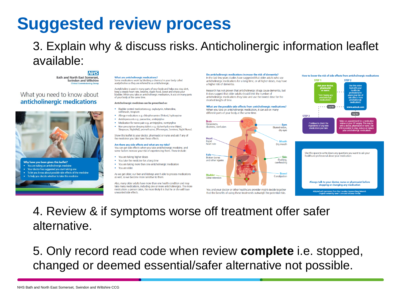## **Suggested review process**

### 3. Explain why & discuss risks. Anticholinergic information leaflet available:

**Bath and North East Somerset, Swindon and Wiltshire** Clinical Commi

### What you need to know about anticholinergic medications



#### What are anticholinergic medications?

Some medications work by blocking a chemical in your body called acetylcholine so they are referred to as anticholinergic

Acetylcholine is used in many parts of your body and helps you stay alert, keen a steady heart rate breathe digest food sweat and empty your hadder. When you take an anticholinergic medication, it acts on many parts of your body at the same time

#### Anticholinergic medicines can be prescribed as:

- · Bladder control medications e.g. oxybutynin, tolterodine, solifenacin, trospium
- · Alleray medications e.g. chlorphenamine (Piriton), hydroxyzine
- · Antidepressants e.g. paroxetine, amitriptyline
- Medication for nerve pain e.g. amitriptyline, nortriptyline
- . Non-prescription sleeping tablets e.g. diphenhydramine (Nytol, Sleepeaze, NightAid), promethazine, (Phenergan, Sominex, Night Nurse).

Show this leaflet to your doctor, pharmacist or nurse and ask if any of the medicines you take have these effects

#### Are there any side effects and what are my risks?

You can get side effects when you take anticholinergic medicine, and some factors increase your risk of experiencing them. These include:

- You are taking higher doses
- . You take the medicine for a long time
- . You are taking more than one anticholinergic medication
- $\bullet$  You are older

As we get older, our liver and kidneys aren't able to process medications as well, so we become more sensitive to them

Also, many older adults have more than one health condition and may take many medications, including one or more anticholinergics. The more medications a person takes, the more likely it is that he or she will have unwanted side effects

Do anticholinergic medications increase the risk of dementia?

In the last few years studies have suggested that older adults who use anticholinergic medications for a long time, or at higher doses, may have a higher risk of dementia

Research has not proven that anticholinergic drugs cause dementia, but it does suggest that older adults should limit the number of anticholinergic medications they take and use the lowest dose for the shortest length of time.

What are the possible side effects from anticholinergic medications?

When you take an anticholinergic medication, it can act on many different parts of your body at the same time.



You and your doctor or other healthcare provider might decide together that the benefits of using these treatments outweigh the potential risks.



Adapted with permission from the Canadian Deprescribing Network<br>Original content by Janet Currie and Johanna Trimble

4. Review & if symptoms worse off treatment offer safer alternative.

5. Only record read code when review **complete** i.e. stopped, changed or deemed essential/safer alternative not possible.